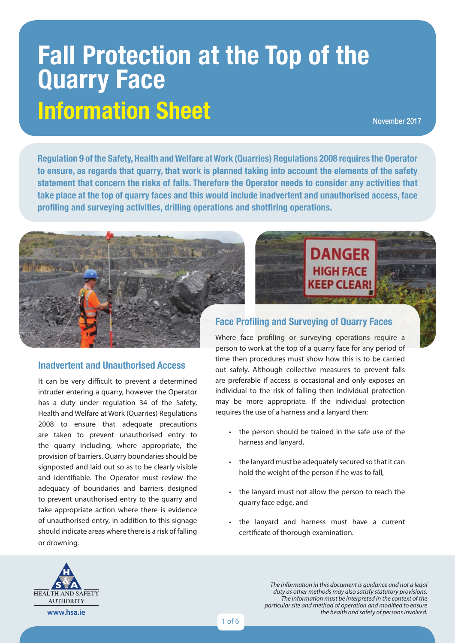# **Fall Protection at the Top of the Quarry Face Information Sheet**

November 2017

**Regulation 9 of the Safety, Health and Welfare at Work (Quarries) Regulations 2008 requires the Operator to ensure, as regards that quarry, that work is planned taking into account the elements of the safety statement that concern the risks of falls. Therefore the Operator needs to consider any activities that take place at the top of quarry faces and this would include inadvertent and unauthorised access, face profiling and surveying activities, drilling operations and shotfiring operations.**



#### **Inadvertent and Unauthorised Access**

It can be very difficult to prevent a determined intruder entering a quarry, however the Operator has a duty under regulation 34 of the Safety, Health and Welfare at Work (Quarries) Regulations 2008 to ensure that adequate precautions are taken to prevent unauthorised entry to the quarry including, where appropriate, the provision of barriers. Quarry boundaries should be signposted and laid out so as to be clearly visible and identifiable. The Operator must review the adequacy of boundaries and barriers designed to prevent unauthorised entry to the quarry and take appropriate action where there is evidence of unauthorised entry, in addition to this signage should indicate areas where there is a risk of falling or drowning.



#### **Face Profiling and Surveying of Quarry Faces**

Where face profiling or surveying operations require a person to work at the top of a quarry face for any period of time then procedures must show how this is to be carried out safely. Although collective measures to prevent falls are preferable if access is occasional and only exposes an individual to the risk of falling then individual protection may be more appropriate. If the individual protection requires the use of a harness and a lanyard then:

- the person should be trained in the safe use of the harness and lanyard,
- the lanyard must be adequately secured so that it can hold the weight of the person if he was to fall,
- the lanyard must not allow the person to reach the quarry face edge, and
- the lanyard and harness must have a current certificate of thorough examination.



*The Information in this document is guidance and not a legal duty as other methods may also satisfy statutory provisions. The information must be interpreted in the context of the particular site and method of operation and modified to ensure the health and safety of persons involved.*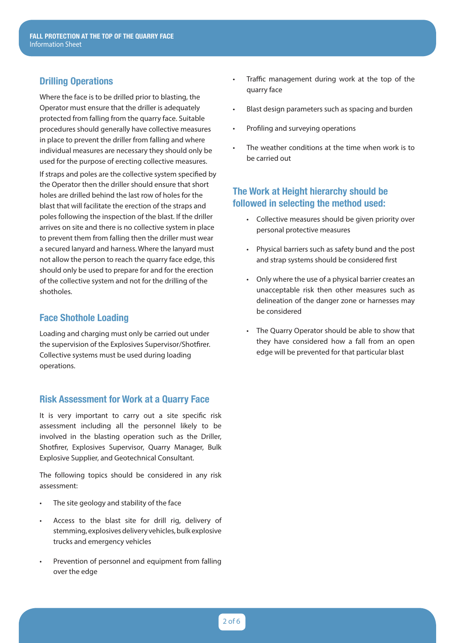## **Drilling Operations**

Where the face is to be drilled prior to blasting, the Operator must ensure that the driller is adequately protected from falling from the quarry face. Suitable procedures should generally have collective measures in place to prevent the driller from falling and where individual measures are necessary they should only be used for the purpose of erecting collective measures. If straps and poles are the collective system specified by the Operator then the driller should ensure that short holes are drilled behind the last row of holes for the blast that will facilitate the erection of the straps and poles following the inspection of the blast. If the driller arrives on site and there is no collective system in place to prevent them from falling then the driller must wear a secured lanyard and harness. Where the lanyard must not allow the person to reach the quarry face edge, this should only be used to prepare for and for the erection of the collective system and not for the drilling of the shotholes.

## **Face Shothole Loading**

Loading and charging must only be carried out under the supervision of the Explosives Supervisor/Shotfirer. Collective systems must be used during loading operations.

#### **Risk Assessment for Work at a Quarry Face**

It is very important to carry out a site specific risk assessment including all the personnel likely to be involved in the blasting operation such as the Driller, Shotfirer, Explosives Supervisor, Quarry Manager, Bulk Explosive Supplier, and Geotechnical Consultant.

The following topics should be considered in any risk assessment:

- The site geology and stability of the face
- Access to the blast site for drill rig, delivery of stemming, explosives delivery vehicles, bulk explosive trucks and emergency vehicles
- Prevention of personnel and equipment from falling over the edge
- Traffic management during work at the top of the quarry face
- Blast design parameters such as spacing and burden
- Profiling and surveying operations
- The weather conditions at the time when work is to be carried out

## **The Work at Height hierarchy should be followed in selecting the method used:**

- Collective measures should be given priority over personal protective measures
- Physical barriers such as safety bund and the post and strap systems should be considered first
- Only where the use of a physical barrier creates an unacceptable risk then other measures such as delineation of the danger zone or harnesses may be considered
- The Quarry Operator should be able to show that they have considered how a fall from an open edge will be prevented for that particular blast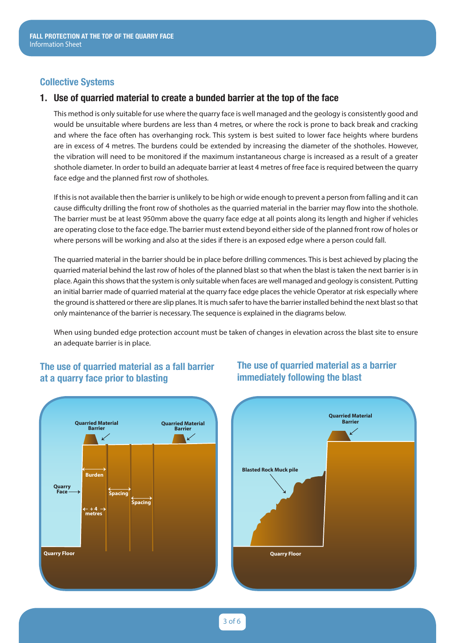#### **Collective Systems**

#### **1. Use of quarried material to create a bunded barrier at the top of the face**

This method is only suitable for use where the quarry face is well managed and the geology is consistently good and would be unsuitable where burdens are less than 4 metres, or where the rock is prone to back break and cracking and where the face often has overhanging rock. This system is best suited to lower face heights where burdens are in excess of 4 metres. The burdens could be extended by increasing the diameter of the shotholes. However, the vibration will need to be monitored if the maximum instantaneous charge is increased as a result of a greater shothole diameter. In order to build an adequate barrier at least 4 metres of free face is required between the quarry face edge and the planned first row of shotholes.

If this is not available then the barrier is unlikely to be high or wide enough to prevent a person from falling and it can cause difficulty drilling the front row of shotholes as the quarried material in the barrier may flow into the shothole. The barrier must be at least 950mm above the quarry face edge at all points along its length and higher if vehicles are operating close to the face edge. The barrier must extend beyond either side of the planned front row of holes or where persons will be working and also at the sides if there is an exposed edge where a person could fall.

The quarried material in the barrier should be in place before drilling commences. This is best achieved by placing the quarried material behind the last row of holes of the planned blast so that when the blast is taken the next barrier is in place. Again this shows that the system is only suitable when faces are well managed and geology is consistent. Putting an initial barrier made of quarried material at the quarry face edge places the vehicle Operator at risk especially where the ground is shattered or there are slip planes. It is much safer to have the barrier installed behind the next blast so that only maintenance of the barrier is necessary. The sequence is explained in the diagrams below.

When using bunded edge protection account must be taken of changes in elevation across the blast site to ensure an adequate barrier is in place.

## **The use of quarried material as a fall barrier at a quarry face prior to blasting**



## **The use of quarried material as a barrier immediately following the blast**

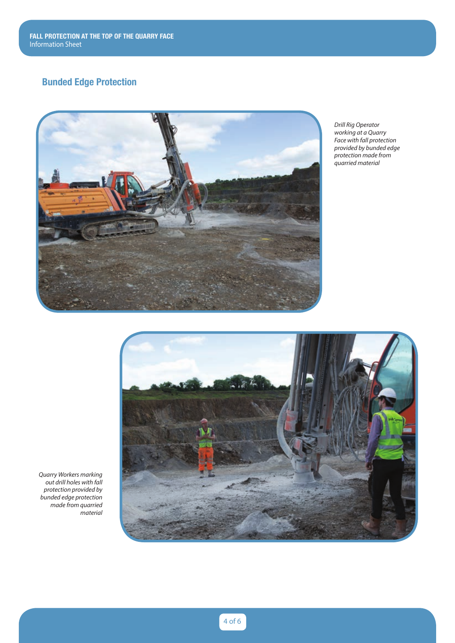# **Bunded Edge Protection**



*Drill Rig Operator working at a Quarry Face with fall protection provided by bunded edge protection made from quarried material*



*Quarry Workers marking out drill holes with fall protection provided by bunded edge protection made from quarried material*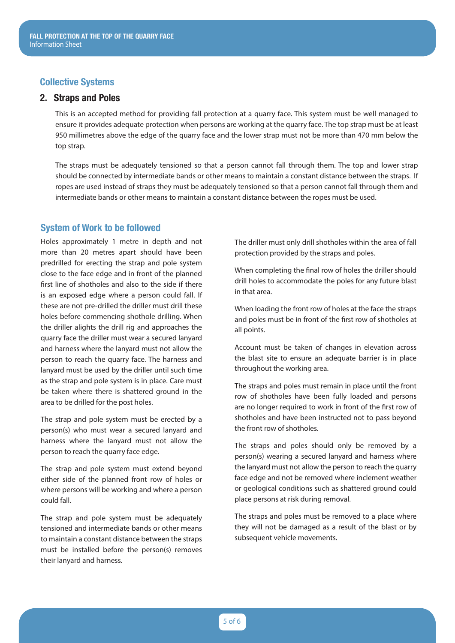#### **Collective Systems**

#### **2. Straps and Poles**

This is an accepted method for providing fall protection at a quarry face. This system must be well managed to ensure it provides adequate protection when persons are working at the quarry face. The top strap must be at least 950 millimetres above the edge of the quarry face and the lower strap must not be more than 470 mm below the top strap.

The straps must be adequately tensioned so that a person cannot fall through them. The top and lower strap should be connected by intermediate bands or other means to maintain a constant distance between the straps. If ropes are used instead of straps they must be adequately tensioned so that a person cannot fall through them and intermediate bands or other means to maintain a constant distance between the ropes must be used.

#### **System of Work to be followed**

Holes approximately 1 metre in depth and not more than 20 metres apart should have been predrilled for erecting the strap and pole system close to the face edge and in front of the planned first line of shotholes and also to the side if there is an exposed edge where a person could fall. If these are not pre-drilled the driller must drill these holes before commencing shothole drilling. When the driller alights the drill rig and approaches the quarry face the driller must wear a secured lanyard and harness where the lanyard must not allow the person to reach the quarry face. The harness and lanyard must be used by the driller until such time as the strap and pole system is in place. Care must be taken where there is shattered ground in the area to be drilled for the post holes.

The strap and pole system must be erected by a person(s) who must wear a secured lanyard and harness where the lanyard must not allow the person to reach the quarry face edge.

The strap and pole system must extend beyond either side of the planned front row of holes or where persons will be working and where a person could fall.

The strap and pole system must be adequately tensioned and intermediate bands or other means to maintain a constant distance between the straps must be installed before the person(s) removes their lanyard and harness.

The driller must only drill shotholes within the area of fall protection provided by the straps and poles.

When completing the final row of holes the driller should drill holes to accommodate the poles for any future blast in that area.

When loading the front row of holes at the face the straps and poles must be in front of the first row of shotholes at all points.

Account must be taken of changes in elevation across the blast site to ensure an adequate barrier is in place throughout the working area.

The straps and poles must remain in place until the front row of shotholes have been fully loaded and persons are no longer required to work in front of the first row of shotholes and have been instructed not to pass beyond the front row of shotholes.

The straps and poles should only be removed by a person(s) wearing a secured lanyard and harness where the lanyard must not allow the person to reach the quarry face edge and not be removed where inclement weather or geological conditions such as shattered ground could place persons at risk during removal.

The straps and poles must be removed to a place where they will not be damaged as a result of the blast or by subsequent vehicle movements.